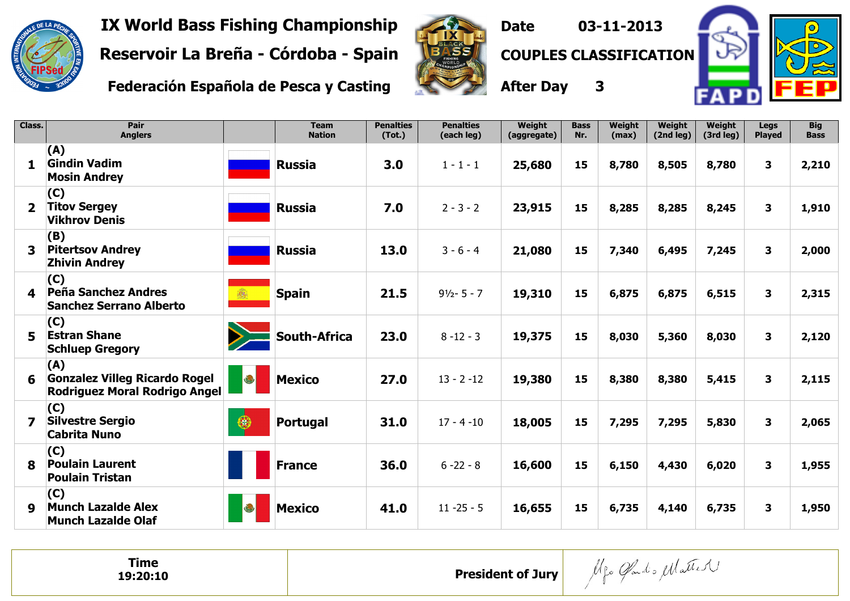

Pair

Class.

IX World Bass Fishing Championship

Reservoir La Breña - Córdoba - Spain

Federación Española de Pesca y Casting

Team



**Penalties** 

**Penalties** 

Date 03-11-2013



Big

COUPLES CLASSIFICATION

**After** 

| ter Day             |                    | 3               | D.                  |                     |                       |  |  |  |  |
|---------------------|--------------------|-----------------|---------------------|---------------------|-----------------------|--|--|--|--|
| Weight<br>ggregate) | <b>Bass</b><br>Nr. | Weight<br>(max) | Weight<br>(2nd leg) | Weight<br>(3rd leg) | Legs<br><b>Played</b> |  |  |  |  |
| 5,680               | 15                 | 8,780           | 8,505               | 8,780               | 3                     |  |  |  |  |
|                     |                    |                 |                     |                     |                       |  |  |  |  |

|                         | <b>Anglers</b>                                                               |            | <b>Nation</b>       | (Tot.) | (each leg)     | (aggregate) | Nr. | (max) | (2nd leg) | (3rd leg) | <b>Played</b> | <b>Bass</b> |
|-------------------------|------------------------------------------------------------------------------|------------|---------------------|--------|----------------|-------------|-----|-------|-----------|-----------|---------------|-------------|
| 1                       | (A)<br><b>Gindin Vadim</b><br><b>Mosin Andrey</b>                            |            | <b>Russia</b>       | 3.0    | $1 - 1 - 1$    | 25,680      | 15  | 8,780 | 8,505     | 8,780     | 3             | 2,210       |
| $\mathbf{2}$            | (C)<br><b>Titov Sergey</b><br><b>Vikhrov Denis</b>                           |            | <b>Russia</b>       | 7.0    | $2 - 3 - 2$    | 23,915      | 15  | 8,285 | 8,285     | 8,245     | 3             | 1,910       |
| $\overline{\mathbf{3}}$ | (B)<br><b>Pitertsov Andrey</b><br><b>Zhivin Andrey</b>                       |            | <b>Russia</b>       | 13.0   | $3 - 6 - 4$    | 21,080      | 15  | 7,340 | 6,495     | 7,245     | 3             | 2,000       |
| 4                       | (C)<br>Peña Sanchez Andres<br><b>Sanchez Serrano Alberto</b>                 | 纛          | <b>Spain</b>        | 21.5   | $91/2 - 5 - 7$ | 19,310      | 15  | 6,875 | 6,875     | 6,515     | 3             | 2,315       |
| 5                       | (C)<br><b>Estran Shane</b><br><b>Schluep Gregory</b>                         |            | <b>South-Africa</b> | 23.0   | $8 - 12 - 3$   | 19,375      | 15  | 8,030 | 5,360     | 8,030     | 3             | 2,120       |
| 6                       | (A)<br><b>Gonzalez Villeg Ricardo Rogel</b><br>Rodriguez Moral Rodrigo Angel | $\bigcirc$ | <b>Mexico</b>       | 27.0   | $13 - 2 - 12$  | 19,380      | 15  | 8,380 | 8,380     | 5,415     | 3             | 2,115       |
| $\overline{\mathbf{z}}$ | (C)<br><b>Silvestre Sergio</b><br><b>Cabrita Nuno</b>                        | ⊕          | Portugal            | 31.0   | $17 - 4 - 10$  | 18,005      | 15  | 7,295 | 7,295     | 5,830     | 3             | 2,065       |
| 8                       | (C)<br><b>Poulain Laurent</b><br><b>Poulain Tristan</b>                      |            | <b>France</b>       | 36.0   | $6 - 22 - 8$   | 16,600      | 15  | 6,150 | 4,430     | 6,020     | 3             | 1,955       |
| 9                       | (C)<br><b>Munch Lazalde Alex</b><br><b>Munch Lazalde Olaf</b>                | O          | <b>Mexico</b>       | 41.0   | $11 - 25 - 5$  | 16,655      | 15  | 6,735 | 4,140     | 6,735     | 3             | 1,950       |
|                         |                                                                              |            |                     |        |                |             |     |       |           |           |               |             |

President of Jury

| <b>Time</b> |  |
|-------------|--|
| 19:20:10    |  |

Mgo Gardo Matter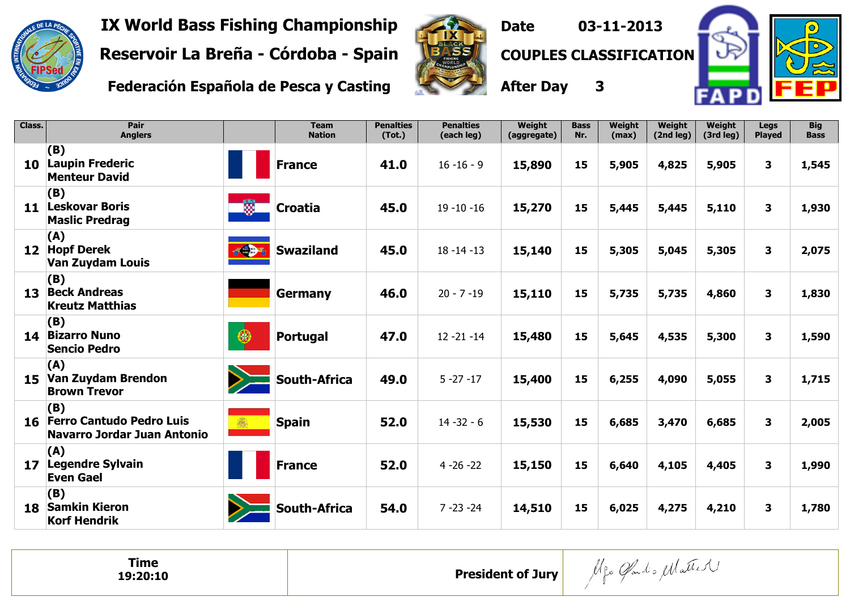

IX World Bass Fishing Championship

Reservoir La Breña - Córdoba - Spain

Federación Española de Pesca y Casting



Date 03-11-2013



COUPLES CLASSIFICATION

After Day <sup>3</sup>

| Class.          | Pair<br><b>Anglers</b>                                                |            | <b>Team</b><br><b>Nation</b> | <b>Penalties</b><br>(Tot.) | <b>Penalties</b><br>(each leg) | Weight<br>(aggregate) | <b>Bass</b><br>Nr. | Weight<br>(max) | Weight<br>(2nd leg) | Weight<br>(3rd leg) | <b>Legs</b><br>Played   | <b>Big</b><br><b>Bass</b> |
|-----------------|-----------------------------------------------------------------------|------------|------------------------------|----------------------------|--------------------------------|-----------------------|--------------------|-----------------|---------------------|---------------------|-------------------------|---------------------------|
| 10              | (B)<br><b>Laupin Frederic</b><br><b>Menteur David</b>                 |            | <b>France</b>                | 41.0                       | $16 - 16 - 9$                  | 15,890                | 15                 | 5,905           | 4,825               | 5,905               | 3                       | 1,545                     |
| 11              | (B)<br><b>Leskovar Boris</b><br><b>Maslic Predrag</b>                 | 殩          | <b>Croatia</b>               | 45.0                       | $19 - 10 - 16$                 | 15,270                | 15                 | 5,445           | 5,445               | 5,110               | 3                       | 1,930                     |
| 12 <sub>2</sub> | (A)<br><b>Hopf Derek</b><br><b>Van Zuydam Louis</b>                   | $-1 - 1$   | <b>Swaziland</b>             | 45.0                       | $18 - 14 - 13$                 | 15,140                | 15                 | 5,305           | 5,045               | 5,305               | $\mathbf{3}$            | 2,075                     |
| 13              | (B)<br><b>Beck Andreas</b><br><b>Kreutz Matthias</b>                  |            | <b>Germany</b>               | 46.0                       | $20 - 7 - 19$                  | 15,110                | 15                 | 5,735           | 5,735               | 4,860               | $\mathbf{3}$            | 1,830                     |
| 14              | (B)<br><b>Bizarro Nuno</b><br><b>Sencio Pedro</b>                     | $\bigcirc$ | <b>Portugal</b>              | 47.0                       | $12 - 21 - 14$                 | 15,480                | 15                 | 5,645           | 4,535               | 5,300               | $\overline{\mathbf{3}}$ | 1,590                     |
| 15              | (A)<br>Van Zuydam Brendon<br><b>Brown Trevor</b>                      |            | <b>South-Africa</b>          | 49.0                       | $5 - 27 - 17$                  | 15,400                | 15                 | 6,255           | 4,090               | 5,055               | 3                       | 1,715                     |
| 16              | (B)<br><b>Ferro Cantudo Pedro Luis</b><br>Navarro Jordar Juan Antonio |            | <b>Spain</b>                 | 52.0                       | $14 - 32 - 6$                  | 15,530                | 15                 | 6,685           | 3,470               | 6,685               | 3                       | 2,005                     |
| 17              | (A)<br><b>Legendre Sylvain</b><br><b>Even Gael</b>                    |            | <b>France</b>                | 52.0                       | $4 - 26 - 22$                  | 15,150                | 15                 | 6,640           | 4,105               | 4,405               | $\overline{\mathbf{3}}$ | 1,990                     |
| 18.             | (B)<br><b>Samkin Kieron</b><br><b>Korf Hendrik</b>                    |            | <b>South-Africa</b>          | 54.0                       | $7 - 23 - 24$                  | 14,510                | 15                 | 6,025           | 4,275               | 4,210               | 3                       | 1,780                     |

Alfo Gard's Matter Time President of Jury19:20:10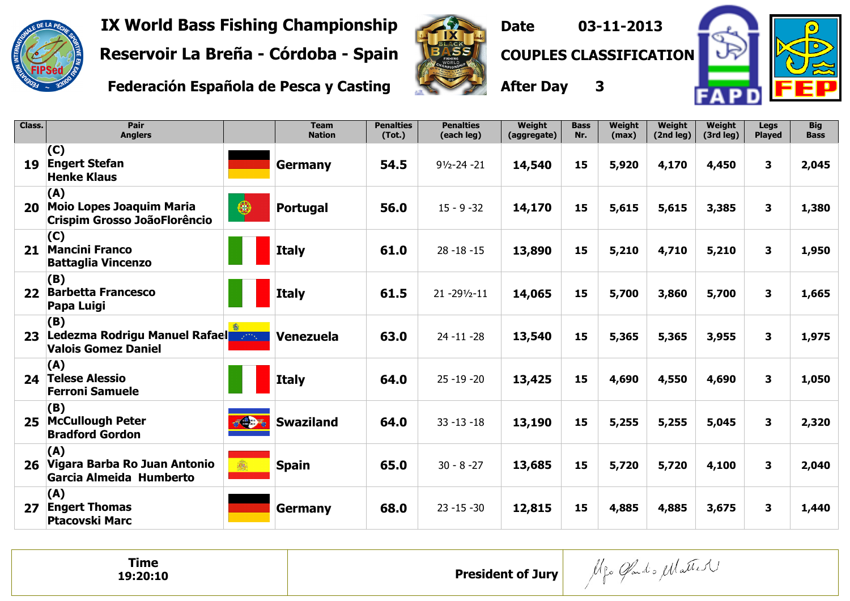

IX World Bass Fishing Championship

Reservoir La Breña - Córdoba - Spain

Federación Española de Pesca y Casting



Date 03-11-2013



COUPLES CLASSIFICATION

After Day 3

| Class.          | Pair<br><b>Anglers</b>                                                        |            | <b>Team</b><br><b>Nation</b> | <b>Penalties</b><br>(Tot.) | <b>Penalties</b><br>(each leg) | <b>Weight</b><br>(aggregate) | <b>Bass</b><br>Nr. | <b>Weight</b><br>(max) | <b>Weight</b><br>(2nd leg) | <b>Weight</b><br>(3rd leg) | <b>Legs</b><br><b>Played</b> | <b>Big</b><br><b>Bass</b> |
|-----------------|-------------------------------------------------------------------------------|------------|------------------------------|----------------------------|--------------------------------|------------------------------|--------------------|------------------------|----------------------------|----------------------------|------------------------------|---------------------------|
| 19              | (C)<br><b>Engert Stefan</b><br><b>Henke Klaus</b>                             |            | <b>Germany</b>               | 54.5                       | $91/2 - 24 - 21$               | 14,540                       | 15                 | 5,920                  | 4,170                      | 4,450                      | 3                            | 2,045                     |
| 20              | (A)<br><b>Moio Lopes Joaquim Maria</b><br><b>Crispim Grosso JoãoFlorêncio</b> | $\bigcirc$ | <b>Portugal</b>              | 56.0                       | $15 - 9 - 32$                  | 14,170                       | 15                 | 5,615                  | 5,615                      | 3,385                      | $\overline{\mathbf{3}}$      | 1,380                     |
| 21              | (C)<br><b>Mancini Franco</b><br><b>Battaglia Vincenzo</b>                     |            | <b>Italy</b>                 | 61.0                       | $28 - 18 - 15$                 | 13,890                       | 15                 | 5,210                  | 4,710                      | 5,210                      | $\mathbf{3}$                 | 1,950                     |
| 22 <sub>2</sub> | (B)<br><b>Barbetta Francesco</b><br>Papa Luigi                                |            | <b>Italy</b>                 | 61.5                       | $21 - 29\frac{1}{2} - 11$      | 14,065                       | 15                 | 5,700                  | 3,860                      | 5,700                      | 3                            | 1,665                     |
| 23              | (B)<br>Ledezma Rodrigu Manuel Rafael<br><b>Valois Gomez Daniel</b>            |            | Venezuela                    | 63.0                       | $24 - 11 - 28$                 | 13,540                       | 15                 | 5,365                  | 5,365                      | 3,955                      | 3                            | 1,975                     |
| 24              | (A)<br><b>Telese Alessio</b><br><b>Ferroni Samuele</b>                        |            | <b>Italy</b>                 | 64.0                       | $25 - 19 - 20$                 | 13,425                       | 15                 | 4,690                  | 4,550                      | 4,690                      | 3                            | 1,050                     |
| 25              | (B)<br><b>McCullough Peter</b><br><b>Bradford Gordon</b>                      | 经典         | <b>Swaziland</b>             | 64.0                       | $33 - 13 - 18$                 | 13,190                       | 15                 | 5,255                  | 5,255                      | 5,045                      | $\mathbf{3}$                 | 2,320                     |
| 26              | (A)<br>Vigara Barba Ro Juan Antonio<br>Garcia Almeida Humberto                |            | <b>Spain</b>                 | 65.0                       | $30 - 8 - 27$                  | 13,685                       | 15                 | 5,720                  | 5,720                      | 4,100                      | 3                            | 2,040                     |
| 27              | (A)<br><b>Engert Thomas</b><br><b>Ptacovski Marc</b>                          |            | <b>Germany</b>               | 68.0                       | $23 - 15 - 30$                 | 12,815                       | 15                 | 4,885                  | 4,885                      | 3,675                      | 3                            | 1,440                     |

| Time<br>$\sim$ $\sim$ $\sim$ $\sim$ $\sim$ $\sim$<br>19:20:10 | <b>President of Jury</b> | Gardo Marie V<br>$\Lambda$ $\Omega$ |
|---------------------------------------------------------------|--------------------------|-------------------------------------|